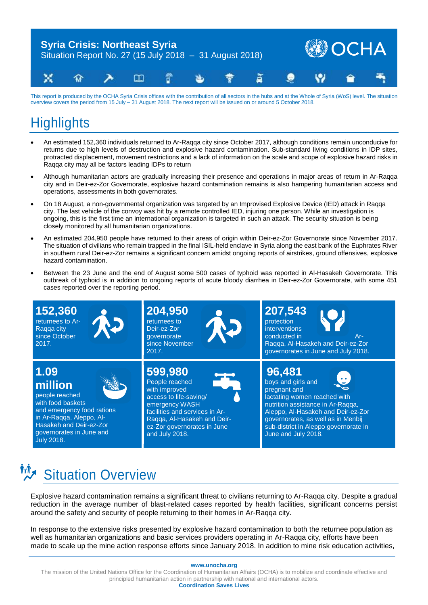

This report is produced by the OCHA Syria Crisis offices with the contribution of all sectors in the hubs and at the Whole of Syria (WoS) level. The situation overview covers the period from 15 July – 31 August 2018. The next report will be issued on or around 5 October 2018.

### **Highlights**

- An estimated 152,360 individuals returned to Ar-Raqqa city since October 2017, although conditions remain unconducive for returns due to high levels of destruction and explosive hazard contamination. Sub-standard living conditions in IDP sites, protracted displacement, movement restrictions and a lack of information on the scale and scope of explosive hazard risks in Raqqa city may all be factors leading IDPs to return
- Although humanitarian actors are gradually increasing their presence and operations in major areas of return in Ar-Raqqa city and in Deir-ez-Zor Governorate, explosive hazard contamination remains is also hampering humanitarian access and operations, assessments in both governorates.
- On 18 August, a non-governmental organization was targeted by an Improvised Explosive Device (IED) attack in Raqqa city. The last vehicle of the convoy was hit by a remote controlled IED, injuring one person. While an investigation is ongoing, this is the first time an international organization is targeted in such an attack. The security situation is being closely monitored by all humanitarian organizations.
- An estimated 204,950 people have returned to their areas of origin within Deir-ez-Zor Governorate since November 2017. The situation of civilians who remain trapped in the final ISIL-held enclave in Syria along the east bank of the Euphrates River in southern rural Deir-ez-Zor remains a significant concern amidst ongoing reports of airstrikes, ground offensives, explosive hazard contamination.
- Between the 23 June and the end of August some 500 cases of typhoid was reported in Al-Hasakeh Governorate. This outbreak of typhoid is in addition to ongoing reports of acute bloody diarrhea in Deir-ez-Zor Governorate, with some 451 cases reported over the reporting period.



# **Situation Overview**

Explosive hazard contamination remains a significant threat to civilians returning to Ar-Raqqa city. Despite a gradual reduction in the average number of blast-related cases reported by health facilities, significant concerns persist around the safety and security of people returning to their homes in Ar-Raqqa city.

In response to the extensive risks presented by explosive hazard contamination to both the returnee population as well as humanitarian organizations and basic services providers operating in Ar-Raqqa city, efforts have been made to scale up the mine action response efforts since January 2018. In addition to mine risk education activities,

#### **www.unocha.org**

The mission of the United Nations Office for the Coordination of Humanitarian Affairs (OCHA) is to mobilize and coordinate effective and principled humanitarian action in partnership with national and international actors. **Coordination Saves Lives**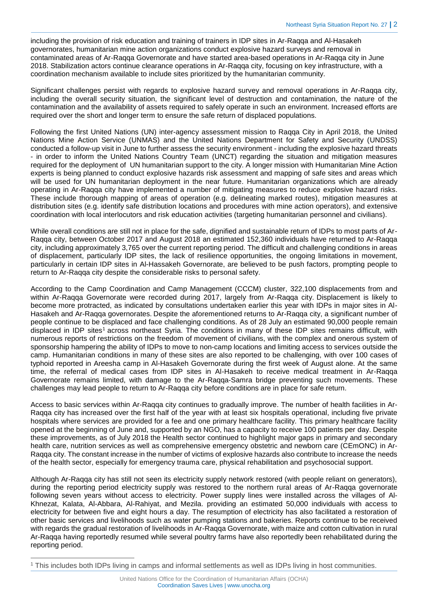including the provision of risk education and training of trainers in IDP sites in Ar-Raqqa and Al-Hasakeh governorates, humanitarian mine action organizations conduct explosive hazard surveys and removal in contaminated areas of Ar-Raqqa Governorate and have started area-based operations in Ar-Raqqa city in June 2018. Stabilization actors continue clearance operations in Ar-Raqqa city, focusing on key infrastructure, with a coordination mechanism available to include sites prioritized by the humanitarian community.

Significant challenges persist with regards to explosive hazard survey and removal operations in Ar-Raqqa city, including the overall security situation, the significant level of destruction and contamination, the nature of the contamination and the availability of assets required to safely operate in such an environment. Increased efforts are required over the short and longer term to ensure the safe return of displaced populations.

Following the first United Nations (UN) inter-agency assessment mission to Raqqa City in April 2018, the United Nations Mine Action Service (UNMAS) and the United Nations Department for Safety and Security (UNDSS) conducted a follow-up visit in June to further assess the security environment - including the explosive hazard threats - in order to inform the United Nations Country Team (UNCT) regarding the situation and mitigation measures required for the deployment of UN humanitarian support to the city. A longer mission with Humanitarian Mine Action experts is being planned to conduct explosive hazards risk assessment and mapping of safe sites and areas which will be used for UN humanitarian deployment in the near future. Humanitarian organizations which are already operating in Ar-Raqqa city have implemented a number of mitigating measures to reduce explosive hazard risks. These include thorough mapping of areas of operation (e.g. delineating marked routes), mitigation measures at distribution sites (e.g. identify safe distribution locations and procedures with mine action operators), and extensive coordination with local interlocutors and risk education activities (targeting humanitarian personnel and civilians).

While overall conditions are still not in place for the safe, dignified and sustainable return of IDPs to most parts of Ar-Raqqa city, between October 2017 and August 2018 an estimated 152,360 individuals have returned to Ar-Raqqa city, including approximately 3,765 over the current reporting period. The difficult and challenging conditions in areas of displacement, particularly IDP sites, the lack of resilience opportunities, the ongoing limitations in movement, particularly in certain IDP sites in Al-Hassakeh Governorate, are believed to be push factors, prompting people to return to Ar-Raqqa city despite the considerable risks to personal safety.

According to the Camp Coordination and Camp Management (CCCM) cluster, 322,100 displacements from and within Ar-Raqqa Governorate were recorded during 2017, largely from Ar-Raqqa city. Displacement is likely to become more protracted, as indicated by consultations undertaken earlier this year with IDPs in major sites in Al-Hasakeh and Ar-Raqqa governorates. Despite the aforementioned returns to Ar-Raqqa city, a significant number of people continue to be displaced and face challenging conditions. As of 28 July an estimated 90,000 people remain displaced in IDP sites<sup>1</sup> across northeast Syria. The conditions in many of these IDP sites remains difficult, with numerous reports of restrictions on the freedom of movement of civilians, with the complex and onerous system of sponsorship hampering the ability of IDPs to move to non-camp locations and limiting access to services outside the camp. Humanitarian conditions in many of these sites are also reported to be challenging, with over 100 cases of typhoid reported in Areesha camp in Al-Hasakeh Governorate during the first week of August alone. At the same time, the referral of medical cases from IDP sites in Al-Hasakeh to receive medical treatment in Ar-Raqqa Governorate remains limited, with damage to the Ar-Raqqa-Samra bridge preventing such movements. These challenges may lead people to return to Ar-Raqqa city before conditions are in place for safe return.

Access to basic services within Ar-Raqqa city continues to gradually improve. The number of health facilities in Ar-Raqqa city has increased over the first half of the year with at least six hospitals operational, including five private hospitals where services are provided for a fee and one primary healthcare facility. This primary healthcare facility opened at the beginning of June and, supported by an NGO, has a capacity to receive 100 patients per day. Despite these improvements, as of July 2018 the Health sector continued to highlight major gaps in primary and secondary health care, nutrition services as well as comprehensive emergency obstetric and newborn care (CEmONC) in Ar-Raqqa city. The constant increase in the number of victims of explosive hazards also contribute to increase the needs of the health sector, especially for emergency trauma care, physical rehabilitation and psychosocial support.

Although Ar-Raqqa city has still not seen its electricity supply network restored (with people reliant on generators), during the reporting period electricity supply was restored to the northern rural areas of Ar-Raqqa governorate following seven years without access to electricity. Power supply lines were installed across the villages of Al-Khnezat, Kalata, Al-Abbara, Al-Rahiyat, and Mezila. providing an estimated 50,000 individuals with access to electricity for between five and eight hours a day. The resumption of electricity has also facilitated a restoration of other basic services and livelihoods such as water pumping stations and bakeries. Reports continue to be received with regards the gradual restoration of livelihoods in Ar-Raqqa Governorate, with maize and cotton cultivation in rural Ar-Raqqa having reportedly resumed while several poultry farms have also reportedly been rehabilitated during the reporting period.

 $\overline{a}$ 

<sup>1</sup> This includes both IDPs living in camps and informal settlements as well as IDPs living in host communities.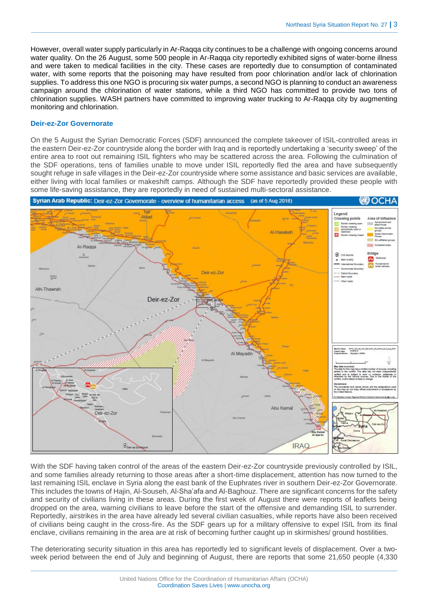However, overall water supply particularly in Ar-Raqqa city continues to be a challenge with ongoing concerns around water quality. On the 26 August, some 500 people in Ar-Raqqa city reportedly exhibited signs of water-borne illness and were taken to medical facilities in the city. These cases are reportedly due to consumption of contaminated water, with some reports that the poisoning may have resulted from poor chlorination and/or lack of chlorination supplies. To address this one NGO is procuring six water pumps, a second NGO is planning to conduct an awareness campaign around the chlorination of water stations, while a third NGO has committed to provide two tons of chlorination supplies. WASH partners have committed to improving water trucking to Ar-Raqqa city by augmenting monitoring and chlorination.

#### **Deir-ez-Zor Governorate**

On the 5 August the Syrian Democratic Forces (SDF) announced the complete takeover of ISIL-controlled areas in the eastern Deir-ez-Zor countryside along the border with Iraq and is reportedly undertaking a 'security sweep' of the entire area to root out remaining ISIL fighters who may be scattered across the area. Following the culmination of the SDF operations, tens of families unable to move under ISIL reportedly fled the area and have subsequently sought refuge in safe villages in the Deir-ez-Zor countryside where some assistance and basic services are available, either living with local families or makeshift camps. Although the SDF have reportedly provided these people with some life-saving assistance, they are reportedly in need of sustained multi-sectoral assistance.



With the SDF having taken control of the areas of the eastern Deir-ez-Zor countryside previously controlled by ISIL, and some families already returning to those areas after a short-time displacement, attention has now turned to the last remaining ISIL enclave in Syria along the east bank of the Euphrates river in southern Deir-ez-Zor Governorate. This includes the towns of Hajin, Al-Souseh, Al-Sha'afa and Al-Baghouz. There are significant concerns for the safety and security of civilians living in these areas. During the first week of August there were reports of leaflets being dropped on the area, warning civilians to leave before the start of the offensive and demanding ISIL to surrender. Reportedly, airstrikes in the area have already led several civilian casualties, while reports have also been received of civilians being caught in the cross-fire. As the SDF gears up for a military offensive to expel ISIL from its final enclave, civilians remaining in the area are at risk of becoming further caught up in skirmishes/ ground hostilities.

The deteriorating security situation in this area has reportedly led to significant levels of displacement. Over a twoweek period between the end of July and beginning of August, there are reports that some 21,650 people (4,330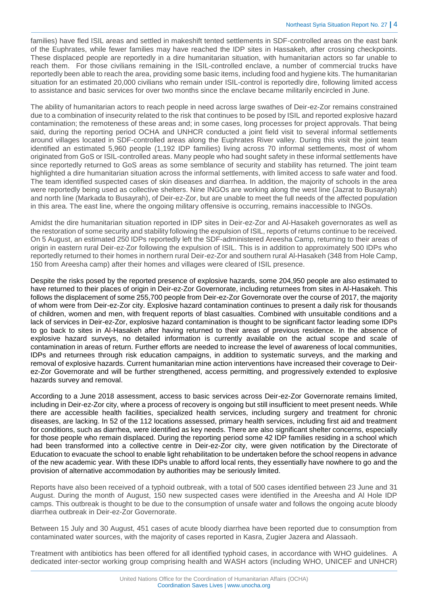families) have fled ISIL areas and settled in makeshift tented settlements in SDF-controlled areas on the east bank of the Euphrates, while fewer families may have reached the IDP sites in Hassakeh, after crossing checkpoints. These displaced people are reportedly in a dire humanitarian situation, with humanitarian actors so far unable to reach them. For those civilians remaining in the ISIL-controlled enclave, a number of commercial trucks have reportedly been able to reach the area, providing some basic items, including food and hygiene kits. The humanitarian situation for an estimated 20,000 civilians who remain under ISIL-control is reportedly dire, following limited access to assistance and basic services for over two months since the enclave became militarily encircled in June.

The ability of humanitarian actors to reach people in need across large swathes of Deir-ez-Zor remains constrained due to a combination of insecurity related to the risk that continues to be posed by ISIL and reported explosive hazard contamination; the remoteness of these areas and; in some cases, long processes for project approvals. That being said, during the reporting period OCHA and UNHCR conducted a joint field visit to several informal settlements around villages located in SDF-controlled areas along the Euphrates River valley. During this visit the joint team identified an estimated 5,960 people (1,192 IDP families) living across 70 informal settlements, most of whom originated from GoS or ISIL-controlled areas. Many people who had sought safety in these informal settlements have since reportedly returned to GoS areas as some semblance of security and stability has returned. The joint team highlighted a dire humanitarian situation across the informal settlements, with limited access to safe water and food. The team identified suspected cases of skin diseases and diarrhea. In addition, the majority of schools in the area were reportedly being used as collective shelters. Nine INGOs are working along the west line (Jazrat to Busayrah) and north line (Markada to Busayrah), of Deir-ez-Zor, but are unable to meet the full needs of the affected population in this area. The east line, where the ongoing military offensive is occurring, remains inaccessible to INGOs.

Amidst the dire humanitarian situation reported in IDP sites in Deir-ez-Zor and Al-Hasakeh governorates as well as the restoration of some security and stability following the expulsion of ISIL, reports of returns continue to be received. On 5 August, an estimated 250 IDPs reportedly left the SDF-administered Areesha Camp, returning to their areas of origin in eastern rural Deir-ez-Zor following the expulsion of ISIL. This is in addition to approximately 500 IDPs who reportedly returned to their homes in northern rural Deir-ez-Zor and southern rural Al-Hasakeh (348 from Hole Camp, 150 from Areesha camp) after their homes and villages were cleared of ISIL presence.

Despite the risks posed by the reported presence of explosive hazards, some 204,950 people are also estimated to have returned to their places of origin in Deir-ez-Zor Governorate, including returnees from sites in Al-Hasakeh. This follows the displacement of some 255,700 people from Deir-ez-Zor Governorate over the course of 2017, the majority of whom were from Deir-ez-Zor city. Explosive hazard contamination continues to present a daily risk for thousands of children, women and men, with frequent reports of blast casualties. Combined with unsuitable conditions and a lack of services in Deir-ez-Zor, explosive hazard contamination is thought to be significant factor leading some IDPs to go back to sites in Al-Hasakeh after having returned to their areas of previous residence. In the absence of explosive hazard surveys, no detailed information is currently available on the actual scope and scale of contamination in areas of return. Further efforts are needed to increase the level of awareness of local communities, IDPs and returnees through risk education campaigns, in addition to systematic surveys, and the marking and removal of explosive hazards. Current humanitarian mine action interventions have increased their coverage to Deirez-Zor Governorate and will be further strengthened, access permitting, and progressively extended to explosive hazards survey and removal.

According to a June 2018 assessment, access to basic services across Deir-ez-Zor Governorate remains limited, including in Deir-ez-Zor city, where a process of recovery is ongoing but still insufficient to meet present needs. While there are accessible health facilities, specialized health services, including surgery and treatment for chronic diseases, are lacking. In 52 of the 112 locations assessed, primary health services, including first aid and treatment for conditions, such as diarrhea, were identified as key needs. There are also significant shelter concerns, especially for those people who remain displaced. During the reporting period some 42 IDP families residing in a school which had been transformed into a collective centre in Deir-ez-Zor city, were given notification by the Directorate of Education to evacuate the school to enable light rehabilitation to be undertaken before the school reopens in advance of the new academic year. With these IDPs unable to afford local rents, they essentially have nowhere to go and the provision of alternative accommodation by authorities may be seriously limited.

Reports have also been received of a typhoid outbreak, with a total of 500 cases identified between 23 June and 31 August. During the month of August, 150 new suspected cases were identified in the Areesha and Al Hole IDP camps. This outbreak is thought to be due to the consumption of unsafe water and follows the ongoing acute bloody diarrhea outbreak in Deir-ez-Zor Governorate.

Between 15 July and 30 August, 451 cases of acute bloody diarrhea have been reported due to consumption from contaminated water sources, with the majority of cases reported in Kasra, Zugier Jazera and Alassaoh.

Treatment with antibiotics has been offered for all identified typhoid cases, in accordance with WHO guidelines. A dedicated inter-sector working group comprising health and WASH actors (including WHO, UNICEF and UNHCR)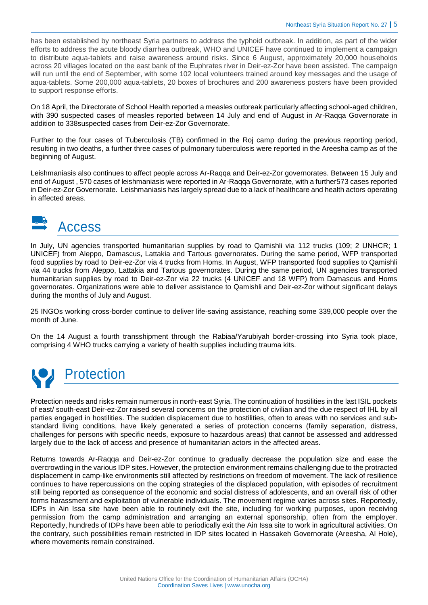has been established by northeast Syria partners to address the typhoid outbreak. In addition, as part of the wider efforts to address the acute bloody diarrhea outbreak, WHO and UNICEF have continued to implement a campaign to distribute aqua-tablets and raise awareness around risks. Since 6 August, approximately 20,000 households across 20 villages located on the east bank of the Euphrates river in Deir-ez-Zor have been assisted. The campaign will run until the end of September, with some 102 local volunteers trained around key messages and the usage of aqua-tablets. Some 200,000 aqua-tablets, 20 boxes of brochures and 200 awareness posters have been provided to support response efforts.

On 18 April, the Directorate of School Health reported a measles outbreak particularly affecting school-aged children, with 390 suspected cases of measles reported between 14 July and end of August in Ar-Raqqa Governorate in addition to 338suspected cases from Deir-ez-Zor Governorate.

Further to the four cases of Tuberculosis (TB) confirmed in the Roj camp during the previous reporting period, resulting in two deaths, a further three cases of pulmonary tuberculosis were reported in the Areesha camp as of the beginning of August.

Leishmaniasis also continues to affect people across Ar-Raqqa and Deir-ez-Zor governorates. Between 15 July and end of August , 570 cases of leishmaniasis were reported in Ar-Raqqa Governorate, with a further573 cases reported in Deir-ez-Zor Governorate. Leishmaniasis has largely spread due to a lack of healthcare and health actors operating in affected areas.



In July, UN agencies transported humanitarian supplies by road to Qamishli via 112 trucks (109; 2 UNHCR; 1 UNICEF) from Aleppo, Damascus, Lattakia and Tartous governorates. During the same period, WFP transported food supplies by road to Deir-ez-Zor via 4 trucks from Homs. In August, WFP transported food supplies to Qamishli via 44 trucks from Aleppo, Lattakia and Tartous governorates. During the same period, UN agencies transported humanitarian supplies by road to Deir-ez-Zor via 22 trucks (4 UNICEF and 18 WFP) from Damascus and Homs governorates. Organizations were able to deliver assistance to Qamishli and Deir-ez-Zor without significant delays during the months of July and August.

25 INGOs working cross-border continue to deliver life-saving assistance, reaching some 339,000 people over the month of June.

On the 14 August a fourth transshipment through the Rabiaa/Yarubiyah border-crossing into Syria took place, comprising 4 WHO trucks carrying a variety of health supplies including trauma kits.

# **A** Protection

Protection needs and risks remain numerous in north-east Syria. The continuation of hostilities in the last ISIL pockets of east/ south-east Deir-ez-Zor raised several concerns on the protection of civilian and the due respect of IHL by all parties engaged in hostilities. The sudden displacement due to hostilities, often to areas with no services and substandard living conditions, have likely generated a series of protection concerns (family separation, distress, challenges for persons with specific needs, exposure to hazardous areas) that cannot be assessed and addressed largely due to the lack of access and presence of humanitarian actors in the affected areas.

Returns towards Ar-Raqqa and Deir-ez-Zor continue to gradually decrease the population size and ease the overcrowding in the various IDP sites. However, the protection environment remains challenging due to the protracted displacement in camp-like environments still affected by restrictions on freedom of movement. The lack of resilience continues to have repercussions on the coping strategies of the displaced population, with episodes of recruitment still being reported as consequence of the economic and social distress of adolescents, and an overall risk of other forms harassment and exploitation of vulnerable individuals. The movement regime varies across sites. Reportedly, IDPs in Ain Issa site have been able to routinely exit the site, including for working purposes, upon receiving permission from the camp administration and arranging an external sponsorship, often from the employer. Reportedly, hundreds of IDPs have been able to periodically exit the Ain Issa site to work in agricultural activities. On the contrary, such possibilities remain restricted in IDP sites located in Hassakeh Governorate (Areesha, Al Hole), where movements remain constrained.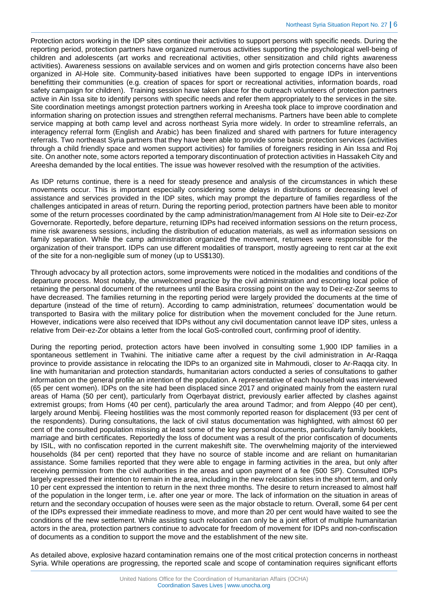Protection actors working in the IDP sites continue their activities to support persons with specific needs. During the reporting period, protection partners have organized numerous activities supporting the psychological well-being of children and adolescents (art works and recreational activities, other sensitization and child rights awareness activities). Awareness sessions on available services and on women and girls protection concerns have also been organized in Al-Hole site. Community-based initiatives have been supported to engage IDPs in interventions benefitting their communities (e.g. creation of spaces for sport or recreational activities, information boards, road safety campaign for children). Training session have taken place for the outreach volunteers of protection partners active in Ain Issa site to identify persons with specific needs and refer them appropriately to the services in the site. Site coordination meetings amongst protection partners working in Areesha took place to improve coordination and information sharing on protection issues and strengthen referral mechanisms. Partners have been able to complete service mapping at both camp level and across northeast Syria more widely. In order to streamline referrals, an interagency referral form (English and Arabic) has been finalized and shared with partners for future interagency referrals. Two northeast Syria partners that they have been able to provide some basic protection services (activities through a child friendly space and women support activities) for families of foreigners residing in Ain Issa and Roj site. On another note, some actors reported a temporary discontinuation of protection activities in Hassakeh City and Areesha demanded by the local entities. The issue was however resolved with the resumption of the activities.

As IDP returns continue, there is a need for steady presence and analysis of the circumstances in which these movements occur. This is important especially considering some delays in distributions or decreasing level of assistance and services provided in the IDP sites, which may prompt the departure of families regardless of the challenges anticipated in areas of return. During the reporting period, protection partners have been able to monitor some of the return processes coordinated by the camp administration/management from Al Hole site to Deir-ez-Zor Governorate. Reportedly, before departure, returning IDPs had received information sessions on the return process, mine risk awareness sessions, including the distribution of education materials, as well as information sessions on family separation. While the camp administration organized the movement, returnees were responsible for the organization of their transport. IDPs can use different modalities of transport, mostly agreeing to rent car at the exit of the site for a non-negligible sum of money (up to US\$130).

Through advocacy by all protection actors, some improvements were noticed in the modalities and conditions of the departure process. Most notably, the unwelcomed practice by the civil administration and escorting local police of retaining the personal document of the returnees until the Basira crossing point on the way to Deir-ez-Zor seems to have decreased. The families returning in the reporting period were largely provided the documents at the time of departure (instead of the time of return). According to camp administration, returnees' documentation would be transported to Basira with the military police for distribution when the movement concluded for the June return. However, indications were also received that IDPs without any civil documentation cannot leave IDP sites, unless a relative from Deir-ez-Zor obtains a letter from the local GoS-controlled court, confirming proof of identity.

During the reporting period, protection actors have been involved in consulting some 1,900 IDP families in a spontaneous settlement in Twahini. The initiative came after a request by the civil administration in Ar-Raqqa province to provide assistance in relocating the IDPs to an organized site in Mahmoudi, closer to Ar-Raqqa city. In line with humanitarian and protection standards, humanitarian actors conducted a series of consultations to gather information on the general profile an intention of the population. A representative of each household was interviewed (65 per cent women). IDPs on the site had been displaced since 2017 and originated mainly from the eastern rural areas of Hama (50 per cent), particularly from Oqerbayat district, previously earlier affected by clashes against extremist groups; from Homs (40 per cent), particularly the area around Tadmor; and from Aleppo (40 per cent), largely around Menbij. Fleeing hostilities was the most commonly reported reason for displacement (93 per cent of the respondents). During consultations, the lack of civil status documentation was highlighted, with almost 60 per cent of the consulted population missing at least some of the key personal documents, particularly family booklets, marriage and birth certificates. Reportedly the loss of document was a result of the prior confiscation of documents by ISIL, with no confiscation reported in the current makeshift site. The overwhelming majority of the interviewed households (84 per cent) reported that they have no source of stable income and are reliant on humanitarian assistance. Some families reported that they were able to engage in farming activities in the area, but only after receiving permission from the civil authorities in the areas and upon payment of a fee (500 SP). Consulted IDPs largely expressed their intention to remain in the area, including in the new relocation sites in the short term, and only 10 per cent expressed the intention to return in the next three months. The desire to return increased to almost half of the population in the longer term, i.e. after one year or more. The lack of information on the situation in areas of return and the secondary occupation of houses were seen as the major obstacle to return. Overall, some 64 per cent of the IDPs expressed their immediate readiness to move, and more than 20 per cent would have waited to see the conditions of the new settlement. While assisting such relocation can only be a joint effort of multiple humanitarian actors in the area, protection partners continue to advocate for freedom of movement for IDPs and non-confiscation of documents as a condition to support the move and the establishment of the new site.

As detailed above, explosive hazard contamination remains one of the most critical protection concerns in northeast Syria. While operations are progressing, the reported scale and scope of contamination requires significant efforts